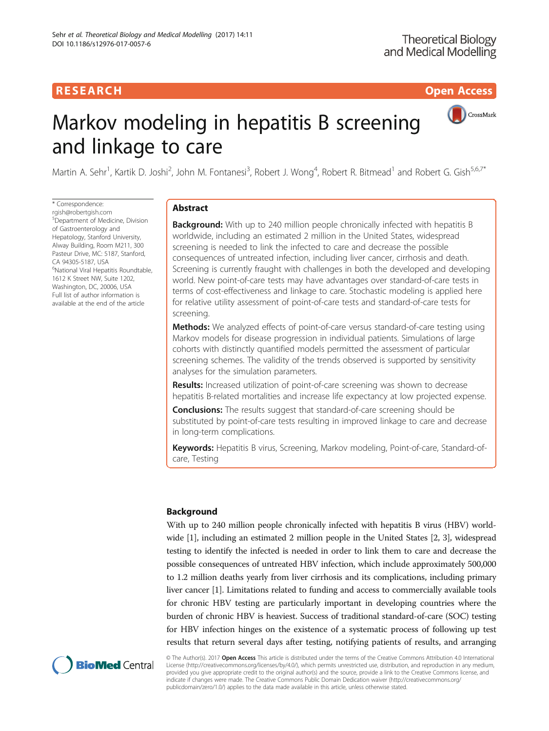

# Markov modeling in hepatitis B screening and linkage to care

Martin A. Sehr<sup>1</sup>, Kartik D. Joshi<sup>2</sup>, John M. Fontanesi<sup>3</sup>, Robert J. Wong<sup>4</sup>, Robert R. Bitmead<sup>1</sup> and Robert G. Gish<sup>5,6,7\*</sup>

\* Correspondence: [rgish@robertgish.com](mailto:rgish@robertgish.com) *<u>S</u>* Department of Medicine, Division of Gastroenterology and Hepatology, Stanford University, Alway Building, Room M211, 300 Pasteur Drive, MC: 5187, Stanford, CA 94305-5187, USA <sup>6</sup>National Viral Hepatitis Roundtable, 1612 K Street NW, Suite 1202, Washington, DC, 20006, USA Full list of author information is available at the end of the article

# Abstract

**Background:** With up to 240 million people chronically infected with hepatitis B worldwide, including an estimated 2 million in the United States, widespread screening is needed to link the infected to care and decrease the possible consequences of untreated infection, including liver cancer, cirrhosis and death. Screening is currently fraught with challenges in both the developed and developing world. New point-of-care tests may have advantages over standard-of-care tests in terms of cost-effectiveness and linkage to care. Stochastic modeling is applied here for relative utility assessment of point-of-care tests and standard-of-care tests for screening.

Methods: We analyzed effects of point-of-care versus standard-of-care testing using Markov models for disease progression in individual patients. Simulations of large cohorts with distinctly quantified models permitted the assessment of particular screening schemes. The validity of the trends observed is supported by sensitivity analyses for the simulation parameters.

**Results:** Increased utilization of point-of-care screening was shown to decrease hepatitis B-related mortalities and increase life expectancy at low projected expense.

**Conclusions:** The results suggest that standard-of-care screening should be substituted by point-of-care tests resulting in improved linkage to care and decrease in long-term complications.

Keywords: Hepatitis B virus, Screening, Markov modeling, Point-of-care, Standard-ofcare, Testing

# Background

With up to 240 million people chronically infected with hepatitis B virus (HBV) worldwide [[1\]](#page-10-0), including an estimated 2 million people in the United States [\[2](#page-11-0), [3](#page-11-0)], widespread testing to identify the infected is needed in order to link them to care and decrease the possible consequences of untreated HBV infection, which include approximately 500,000 to 1.2 million deaths yearly from liver cirrhosis and its complications, including primary liver cancer [\[1\]](#page-10-0). Limitations related to funding and access to commercially available tools for chronic HBV testing are particularly important in developing countries where the burden of chronic HBV is heaviest. Success of traditional standard-of-care (SOC) testing for HBV infection hinges on the existence of a systematic process of following up test results that return several days after testing, notifying patients of results, and arranging



© The Author(s). 2017 Open Access This article is distributed under the terms of the Creative Commons Attribution 4.0 International License ([http://creativecommons.org/licenses/by/4.0/\)](http://creativecommons.org/licenses/by/4.0/), which permits unrestricted use, distribution, and reproduction in any medium, provided you give appropriate credit to the original author(s) and the source, provide a link to the Creative Commons license, and indicate if changes were made. The Creative Commons Public Domain Dedication waiver ([http://creativecommons.org/](http://creativecommons.org/publicdomain/zero/1.0/) [publicdomain/zero/1.0/\)](http://creativecommons.org/publicdomain/zero/1.0/) applies to the data made available in this article, unless otherwise stated.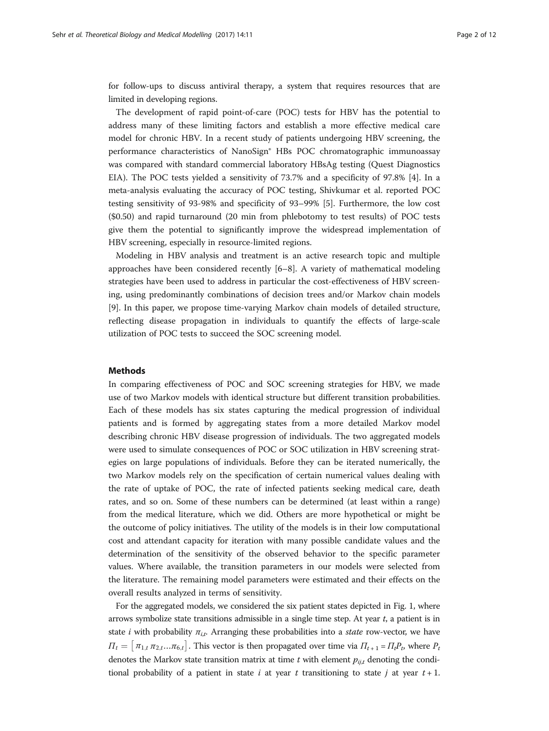for follow-ups to discuss antiviral therapy, a system that requires resources that are limited in developing regions.

The development of rapid point-of-care (POC) tests for HBV has the potential to address many of these limiting factors and establish a more effective medical care model for chronic HBV. In a recent study of patients undergoing HBV screening, the performance characteristics of NanoSign® HBs POC chromatographic immunoassay was compared with standard commercial laboratory HBsAg testing (Quest Diagnostics EIA). The POC tests yielded a sensitivity of 73.7% and a specificity of 97.8% [[4\]](#page-11-0). In a meta-analysis evaluating the accuracy of POC testing, Shivkumar et al. reported POC testing sensitivity of 93-98% and specificity of 93–99% [[5\]](#page-11-0). Furthermore, the low cost (\$0.50) and rapid turnaround (20 min from phlebotomy to test results) of POC tests give them the potential to significantly improve the widespread implementation of HBV screening, especially in resource-limited regions.

Modeling in HBV analysis and treatment is an active research topic and multiple approaches have been considered recently [\[6](#page-11-0)–[8](#page-11-0)]. A variety of mathematical modeling strategies have been used to address in particular the cost-effectiveness of HBV screening, using predominantly combinations of decision trees and/or Markov chain models [[9\]](#page-11-0). In this paper, we propose time-varying Markov chain models of detailed structure, reflecting disease propagation in individuals to quantify the effects of large-scale utilization of POC tests to succeed the SOC screening model.

# Methods

In comparing effectiveness of POC and SOC screening strategies for HBV, we made use of two Markov models with identical structure but different transition probabilities. Each of these models has six states capturing the medical progression of individual patients and is formed by aggregating states from a more detailed Markov model describing chronic HBV disease progression of individuals. The two aggregated models were used to simulate consequences of POC or SOC utilization in HBV screening strategies on large populations of individuals. Before they can be iterated numerically, the two Markov models rely on the specification of certain numerical values dealing with the rate of uptake of POC, the rate of infected patients seeking medical care, death rates, and so on. Some of these numbers can be determined (at least within a range) from the medical literature, which we did. Others are more hypothetical or might be the outcome of policy initiatives. The utility of the models is in their low computational cost and attendant capacity for iteration with many possible candidate values and the determination of the sensitivity of the observed behavior to the specific parameter values. Where available, the transition parameters in our models were selected from the literature. The remaining model parameters were estimated and their effects on the overall results analyzed in terms of sensitivity.

For the aggregated models, we considered the six patient states depicted in Fig. [1,](#page-2-0) where arrows symbolize state transitions admissible in a single time step. At year  $t$ , a patient is in state *i* with probability  $\pi_{i,t}$ . Arranging these probabilities into a *state* row-vector, we have  $\Pi_t = [\pi_{1,t} \pi_{2,t} ... \pi_{6,t}]$ . This vector is then propagated over time via  $\Pi_{t+1} = \Pi_t P_t$ , where  $P_t$ denotes the Markov state transition matrix at time t with element  $p_{ij,t}$  denoting the conditional probability of a patient in state i at year t transitioning to state j at year  $t + 1$ .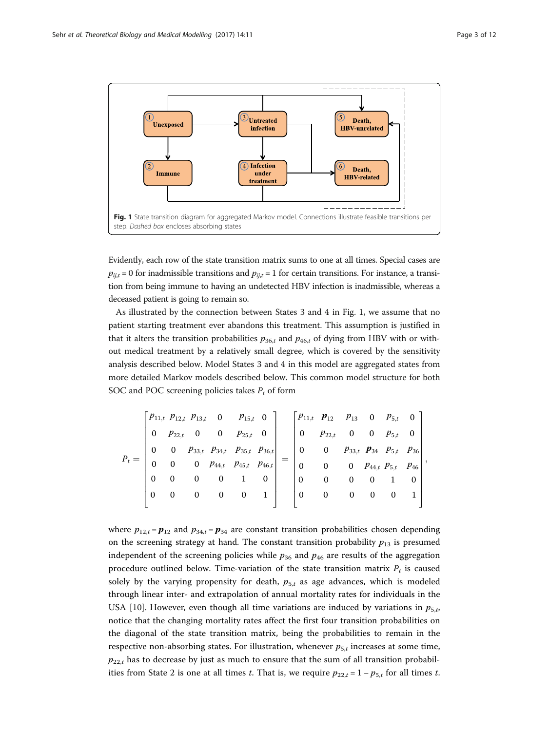<span id="page-2-0"></span>

Evidently, each row of the state transition matrix sums to one at all times. Special cases are  $p_{ij,t}$  = 0 for inadmissible transitions and  $p_{ij,t}$  = 1 for certain transitions. For instance, a transition from being immune to having an undetected HBV infection is inadmissible, whereas a deceased patient is going to remain so.

As illustrated by the connection between States 3 and 4 in Fig. 1, we assume that no patient starting treatment ever abandons this treatment. This assumption is justified in that it alters the transition probabilities  $p_{36,t}$  and  $p_{46,t}$  of dying from HBV with or without medical treatment by a relatively small degree, which is covered by the sensitivity analysis described below. Model States 3 and 4 in this model are aggregated states from more detailed Markov models described below. This common model structure for both SOC and POC screening policies takes  $P_t$  of form

$$
P_t = \begin{bmatrix} p_{11,t} & p_{12,t} & p_{13,t} & 0 & p_{15,t} & 0 \\ 0 & p_{22,t} & 0 & 0 & p_{25,t} & 0 \\ 0 & 0 & p_{33,t} & p_{34,t} & p_{35,t} & p_{36,t} \\ 0 & 0 & 0 & p_{44,t} & p_{45,t} & p_{46,t} \\ 0 & 0 & 0 & 0 & 1 & 0 \\ 0 & 0 & 0 & 0 & 0 & 1 \end{bmatrix} = \begin{bmatrix} p_{11,t} & p_{12} & p_{13} & 0 & p_{5,t} & 0 \\ 0 & p_{22,t} & 0 & 0 & p_{5,t} & 0 \\ 0 & 0 & p_{33,t} & p_{34} & p_{5,t} & p_{36} \\ 0 & 0 & 0 & p_{44,t} & p_{5,t} & p_{46} \\ 0 & 0 & 0 & 0 & 1 & 0 \\ 0 & 0 & 0 & 0 & 0 & 1 \end{bmatrix},
$$

where  $p_{12,t} = \mathbf{p}_{12}$  and  $p_{34,t} = \mathbf{p}_{34}$  are constant transition probabilities chosen depending on the screening strategy at hand. The constant transition probability  $p_{13}$  is presumed independent of the screening policies while  $p_{36}$  and  $p_{46}$  are results of the aggregation procedure outlined below. Time-variation of the state transition matrix  $P_t$  is caused solely by the varying propensity for death,  $p_{5,t}$  as age advances, which is modeled through linear inter- and extrapolation of annual mortality rates for individuals in the USA [[10\]](#page-11-0). However, even though all time variations are induced by variations in  $p_{5,t}$ , notice that the changing mortality rates affect the first four transition probabilities on the diagonal of the state transition matrix, being the probabilities to remain in the respective non-absorbing states. For illustration, whenever  $p_{5,t}$  increases at some time,  $p_{22,t}$  has to decrease by just as much to ensure that the sum of all transition probabilities from State 2 is one at all times t. That is, we require  $p_{22,t} = 1 - p_{5,t}$  for all times t.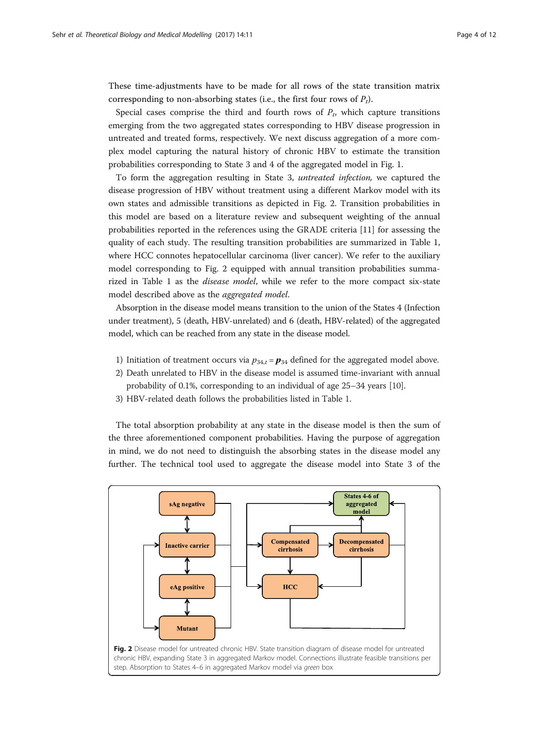<span id="page-3-0"></span>These time-adjustments have to be made for all rows of the state transition matrix corresponding to non-absorbing states (i.e., the first four rows of  $P_t$ ).

Special cases comprise the third and fourth rows of  $P_t$ , which capture transitions emerging from the two aggregated states corresponding to HBV disease progression in untreated and treated forms, respectively. We next discuss aggregation of a more complex model capturing the natural history of chronic HBV to estimate the transition probabilities corresponding to State 3 and 4 of the aggregated model in Fig. [1.](#page-2-0)

To form the aggregation resulting in State 3, untreated infection, we captured the disease progression of HBV without treatment using a different Markov model with its own states and admissible transitions as depicted in Fig. 2. Transition probabilities in this model are based on a literature review and subsequent weighting of the annual probabilities reported in the references using the GRADE criteria [[11\]](#page-11-0) for assessing the quality of each study. The resulting transition probabilities are summarized in Table [1](#page-4-0), where HCC connotes hepatocellular carcinoma (liver cancer). We refer to the auxiliary model corresponding to Fig. 2 equipped with annual transition probabilities summa-rized in Table [1](#page-4-0) as the *disease model*, while we refer to the more compact six-state model described above as the aggregated model.

Absorption in the disease model means transition to the union of the States 4 (Infection under treatment), 5 (death, HBV-unrelated) and 6 (death, HBV-related) of the aggregated model, which can be reached from any state in the disease model.

- 1) Initiation of treatment occurs via  $p_{34,t} = p_{34}$  defined for the aggregated model above.
- 2) Death unrelated to HBV in the disease model is assumed time-invariant with annual probability of 0.1%, corresponding to an individual of age 25–34 years [\[10](#page-11-0)].
- 3) HBV-related death follows the probabilities listed in Table [1](#page-4-0).

The total absorption probability at any state in the disease model is then the sum of the three aforementioned component probabilities. Having the purpose of aggregation in mind, we do not need to distinguish the absorbing states in the disease model any further. The technical tool used to aggregate the disease model into State 3 of the

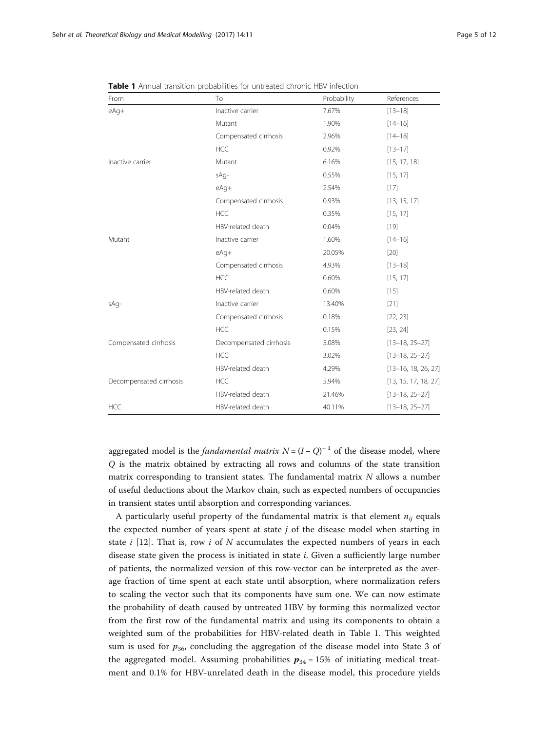| From                    | To                      | Probability                    | References           |  |
|-------------------------|-------------------------|--------------------------------|----------------------|--|
| $e$ Ag+                 | Inactive carrier        | 7.67%                          | $[13 - 18]$          |  |
|                         | Mutant                  | 1.90%                          | $[14 - 16]$          |  |
|                         | Compensated cirrhosis   | 2.96%                          | $[14 - 18]$          |  |
|                         | <b>HCC</b>              | 0.92%                          | $[13 - 17]$          |  |
| Inactive carrier        | Mutant                  | 6.16%                          | [15, 17, 18]         |  |
|                         | sAq-                    | 0.55%<br>[15, 17]              |                      |  |
|                         | $e$ Ag+                 | 2.54%                          |                      |  |
|                         | Compensated cirrhosis   | 0.93%                          | [13, 15, 17]         |  |
|                         | <b>HCC</b>              | 0.35%                          | [15, 17]             |  |
|                         | HBV-related death       | 0.04%                          | $[19]$               |  |
| Mutant                  | Inactive carrier        | 1.60%                          | $[14 - 16]$          |  |
|                         | eAg+                    | 20.05%                         | $[20]$               |  |
|                         | Compensated cirrhosis   | 4.93%<br>$[13 - 18]$           |                      |  |
|                         | <b>HCC</b>              | 0.60%                          | [15, 17]             |  |
|                         | HBV-related death       | 0.60%                          | $[15]$               |  |
| sAq-                    | Inactive carrier        | 13.40%                         | $[21]$               |  |
|                         | Compensated cirrhosis   | 0.18%                          | [22, 23]             |  |
|                         | <b>HCC</b>              | 0.15%                          | [23, 24]             |  |
| Compensated cirrhosis   | Decompensated cirrhosis | 5.08%<br>$[13-18, 25-27]$      |                      |  |
|                         | <b>HCC</b>              | 3.02%<br>$[13-18, 25-27]$      |                      |  |
|                         | HBV-related death       | $[13-16, 18, 26, 27]$<br>4.29% |                      |  |
| Decompensated cirrhosis | <b>HCC</b>              | 5.94%                          | [13, 15, 17, 18, 27] |  |
|                         | HBV-related death       | 21.46%                         | $[13-18, 25-27]$     |  |
| <b>HCC</b>              | HBV-related death       | 40.11%                         | $[13-18, 25-27]$     |  |

<span id="page-4-0"></span>Table 1 Annual transition probabilities for untreated chronic HBV infection

aggregated model is the *fundamental matrix*  $N = (I - Q)^{-1}$  of the disease model, where Q is the matrix obtained by extracting all rows and columns of the state transition matrix corresponding to transient states. The fundamental matrix  $N$  allows a number of useful deductions about the Markov chain, such as expected numbers of occupancies in transient states until absorption and corresponding variances.

A particularly useful property of the fundamental matrix is that element  $n_{ii}$  equals the expected number of years spent at state j of the disease model when starting in state  $i$  [[12\]](#page-11-0). That is, row  $i$  of  $N$  accumulates the expected numbers of years in each disease state given the process is initiated in state i. Given a sufficiently large number of patients, the normalized version of this row-vector can be interpreted as the average fraction of time spent at each state until absorption, where normalization refers to scaling the vector such that its components have sum one. We can now estimate the probability of death caused by untreated HBV by forming this normalized vector from the first row of the fundamental matrix and using its components to obtain a weighted sum of the probabilities for HBV-related death in Table 1. This weighted sum is used for  $p_{36}$ , concluding the aggregation of the disease model into State 3 of the aggregated model. Assuming probabilities  $p_{34} = 15\%$  of initiating medical treatment and 0.1% for HBV-unrelated death in the disease model, this procedure yields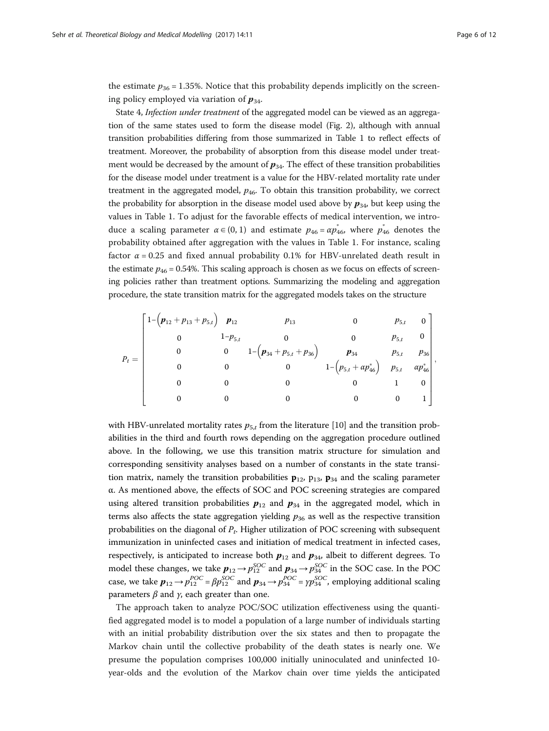the estimate  $p_{36}$  = 1.35%. Notice that this probability depends implicitly on the screening policy employed via variation of  $p_{34}$ .

State 4, Infection under treatment of the aggregated model can be viewed as an aggregation of the same states used to form the disease model (Fig. [2](#page-3-0)), although with annual transition probabilities differing from those summarized in Table [1](#page-4-0) to reflect effects of treatment. Moreover, the probability of absorption from this disease model under treatment would be decreased by the amount of  $p_{34}$ . The effect of these transition probabilities for the disease model under treatment is a value for the HBV-related mortality rate under treatment in the aggregated model,  $p_{46}$ . To obtain this transition probability, we correct the probability for absorption in the disease model used above by  $p_{34}$ , but keep using the values in Table [1.](#page-4-0) To adjust for the favorable effects of medical intervention, we introduce a scaling parameter  $\alpha \in (0, 1)$  and estimate  $p_{46} = \alpha p_{46}^*$ , where  $p_{46}^*$  denotes the probability obtained after aggregation with the values in Table [1.](#page-4-0) For instance, scaling factor  $\alpha$  = 0.25 and fixed annual probability 0.1% for HBV-unrelated death result in the estimate  $p_{46} = 0.54$ %. This scaling approach is chosen as we focus on effects of screening policies rather than treatment options. Summarizing the modeling and aggregation procedure, the state transition matrix for the aggregated models takes on the structure

$$
P_t = \begin{bmatrix} 1 - \left(\boldsymbol{p}_{12} + \boldsymbol{p}_{13} + \boldsymbol{p}_{5,t}\right) & \boldsymbol{p}_{12} & \boldsymbol{p}_{13} & 0 & \boldsymbol{p}_{5,t} & 0 \\ 0 & 1 - \boldsymbol{p}_{5,t} & 0 & 0 & \boldsymbol{p}_{5,t} & 0 \\ 0 & 0 & 1 - \left(\boldsymbol{p}_{34} + \boldsymbol{p}_{5,t} + \boldsymbol{p}_{36}\right) & \boldsymbol{p}_{34} & \boldsymbol{p}_{5,t} & \boldsymbol{p}_{36} \\ 0 & 0 & 0 & 1 - \left(\boldsymbol{p}_{5,t} + \boldsymbol{\alpha} \boldsymbol{p}_{46}^*\right) & \boldsymbol{p}_{5,t} & \boldsymbol{\alpha} \boldsymbol{p}_{46}^*\end{bmatrix},
$$
0  
0  
0  
0  
0  
0  
0  
0  
0  
0  
1  
0  
0  
1  
0

with HBV-unrelated mortality rates  $p_{5,t}$  from the literature [\[10](#page-11-0)] and the transition probabilities in the third and fourth rows depending on the aggregation procedure outlined above. In the following, we use this transition matrix structure for simulation and corresponding sensitivity analyses based on a number of constants in the state transition matrix, namely the transition probabilities  $p_{12}$ ,  $p_{13}$ ,  $p_{34}$  and the scaling parameter α. As mentioned above, the effects of SOC and POC screening strategies are compared using altered transition probabilities  $p_{12}$  and  $p_{34}$  in the aggregated model, which in terms also affects the state aggregation yielding  $p_{36}$  as well as the respective transition probabilities on the diagonal of  $P_t$ . Higher utilization of POC screening with subsequent immunization in uninfected cases and initiation of medical treatment in infected cases, respectively, is anticipated to increase both  $p_{12}$  and  $p_{34}$ , albeit to different degrees. To model these changes, we take  $\bm{p}_{12}$   $\rightarrow$   $p_{12}^{SOC}$  and  $\bm{p}_{34}$   $\rightarrow$   $p_{34}^{SOC}$  in the SOC case. In the POC case, we take  $p_{12} \to p_{12}^{POC} = \beta p_{12}^{SOC}$  and  $p_{34} \to p_{34}^{POC} = \gamma p_{34}^{SOC}$ , employing additional scaling parameters  $β$  and  $γ$ , each greater than one.

The approach taken to analyze POC/SOC utilization effectiveness using the quantified aggregated model is to model a population of a large number of individuals starting with an initial probability distribution over the six states and then to propagate the Markov chain until the collective probability of the death states is nearly one. We presume the population comprises 100,000 initially uninoculated and uninfected 10 year-olds and the evolution of the Markov chain over time yields the anticipated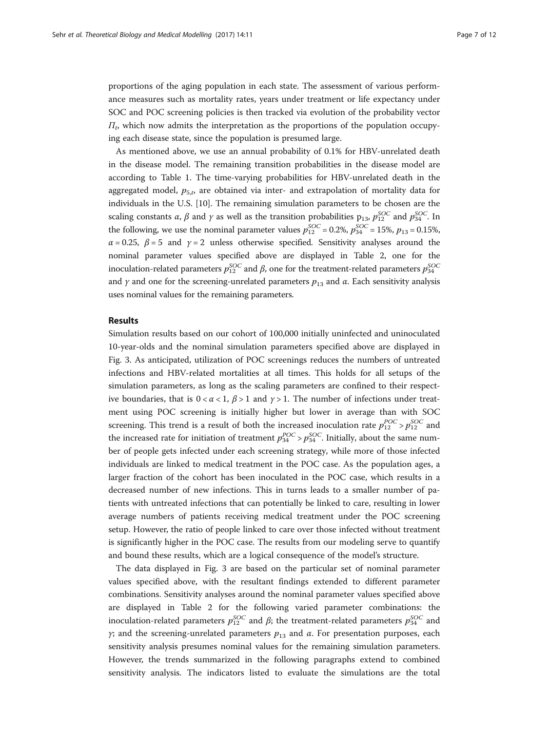proportions of the aging population in each state. The assessment of various performance measures such as mortality rates, years under treatment or life expectancy under SOC and POC screening policies is then tracked via evolution of the probability vector  $\Pi_t$ , which now admits the interpretation as the proportions of the population occupying each disease state, since the population is presumed large.

As mentioned above, we use an annual probability of 0.1% for HBV-unrelated death in the disease model. The remaining transition probabilities in the disease model are according to Table [1.](#page-4-0) The time-varying probabilities for HBV-unrelated death in the aggregated model,  $p_{5,t}$ , are obtained via inter- and extrapolation of mortality data for individuals in the U.S. [\[10](#page-11-0)]. The remaining simulation parameters to be chosen are the scaling constants  $\alpha$ ,  $\beta$  and  $\gamma$  as well as the transition probabilities  $p_{13}$ ,  $p_{12}^{SOC}$  and  $p_{34}^{SOC}$ . In the following, we use the nominal parameter values  $p_{12}^{SOC} = 0.2\%$ ,  $p_{34}^{SOC} = 15\%$ ,  $p_{13} = 0.15\%$ ,  $\alpha = 0.25$ ,  $\beta = 5$  and  $\gamma = 2$  unless otherwise specified. Sensitivity analyses around the nominal parameter values specified above are displayed in Table [2](#page-7-0), one for the inoculation-related parameters  $p_{12}^{SOC}$  and β, one for the treatment-related parameters  $p_{34}^{SOC}$ and  $\gamma$  and one for the screening-unrelated parameters  $p_{13}$  and  $\alpha$ . Each sensitivity analysis uses nominal values for the remaining parameters.

# Results

Simulation results based on our cohort of 100,000 initially uninfected and uninoculated 10-year-olds and the nominal simulation parameters specified above are displayed in Fig. [3.](#page-8-0) As anticipated, utilization of POC screenings reduces the numbers of untreated infections and HBV-related mortalities at all times. This holds for all setups of the simulation parameters, as long as the scaling parameters are confined to their respective boundaries, that is  $0 < \alpha < 1$ ,  $\beta > 1$  and  $\gamma > 1$ . The number of infections under treatment using POC screening is initially higher but lower in average than with SOC screening. This trend is a result of both the increased inoculation rate  $p_{12}^{POC} > p_{12}^{SOC}$  and the increased rate for initiation of treatment  $p_{34}^{POC} > p_{34}^{SOC}$ . Initially, about the same number of people gets infected under each screening strategy, while more of those infected individuals are linked to medical treatment in the POC case. As the population ages, a larger fraction of the cohort has been inoculated in the POC case, which results in a decreased number of new infections. This in turns leads to a smaller number of patients with untreated infections that can potentially be linked to care, resulting in lower average numbers of patients receiving medical treatment under the POC screening setup. However, the ratio of people linked to care over those infected without treatment is significantly higher in the POC case. The results from our modeling serve to quantify and bound these results, which are a logical consequence of the model's structure.

The data displayed in Fig. [3](#page-8-0) are based on the particular set of nominal parameter values specified above, with the resultant findings extended to different parameter combinations. Sensitivity analyses around the nominal parameter values specified above are displayed in Table [2](#page-7-0) for the following varied parameter combinations: the inoculation-related parameters  $p_{12}^{SOC}$  and  $\beta$ ; the treatment-related parameters  $p_{34}^{SOC}$  and γ; and the screening-unrelated parameters  $p_{13}$  and α. For presentation purposes, each sensitivity analysis presumes nominal values for the remaining simulation parameters. However, the trends summarized in the following paragraphs extend to combined sensitivity analysis. The indicators listed to evaluate the simulations are the total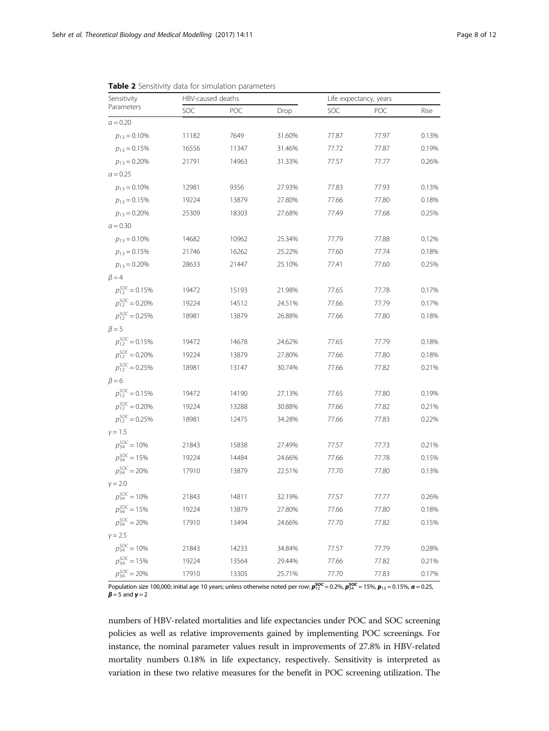| Sensitivity<br>Parameters    | HBV-caused deaths |       |        | Life expectancy, years |       |       |
|------------------------------|-------------------|-------|--------|------------------------|-------|-------|
|                              | SOC               | POC   | Drop   | SOC                    | POC   | Rise  |
| $a = 0.20$                   |                   |       |        |                        |       |       |
| $p_{13} = 0.10\%$            | 11182             | 7649  | 31.60% | 77.87                  | 77.97 | 0.13% |
| $p_{13} = 0.15\%$            | 16556             | 11347 | 31.46% | 77.72                  | 77.87 | 0.19% |
| $p_{13} = 0.20\%$            | 21791             | 14963 | 31.33% | 77.57                  | 77.77 | 0.26% |
| $a = 0.25$                   |                   |       |        |                        |       |       |
| $p_{13} = 0.10\%$            | 12981             | 9356  | 27.93% | 77.83                  | 77.93 | 0.13% |
| $p_{13} = 0.15\%$            | 19224             | 13879 | 27.80% | 77.66                  | 77.80 | 0.18% |
| $p_{13} = 0.20\%$            | 25309             | 18303 | 27.68% | 77.49                  | 77.68 | 0.25% |
| $a = 0.30$                   |                   |       |        |                        |       |       |
| $p_{13} = 0.10\%$            | 14682             | 10962 | 25.34% | 77.79                  | 77.88 | 0.12% |
| $p_{13} = 0.15\%$            | 21746             | 16262 | 25.22% | 77.60                  | 77.74 | 0.18% |
| $p_{13} = 0.20\%$            | 28633             | 21447 | 25.10% | 77.41                  | 77.60 | 0.25% |
| $\beta = 4$                  |                   |       |        |                        |       |       |
| $p_{12}^{SOC} = 0.15\%$      | 19472             | 15193 | 21.98% | 77.65                  | 77.78 | 0.17% |
| $p_{12}^{SOC} = 0.20\%$      | 19224             | 14512 | 24.51% | 77.66                  | 77.79 | 0.17% |
| $p_{12}^{SOC} = 0.25\%$      | 18981             | 13879 | 26.88% | 77.66                  | 77.80 | 0.18% |
| $\beta = 5$                  |                   |       |        |                        |       |       |
| $p_{12}^{SOC} = 0.15\%$      | 19472             | 14678 | 24.62% | 77.65                  | 77.79 | 0.18% |
| $p_{12}^{SOC} = 0.20\%$      | 19224             | 13879 | 27.80% | 77.66                  | 77.80 | 0.18% |
| $p_{12}^{SOC} = 0.25\%$      | 18981             | 13147 | 30.74% | 77.66                  | 77.82 | 0.21% |
| $\beta = 6$                  |                   |       |        |                        |       |       |
| $p_{12}^{SOC} = 0.15\%$      | 19472             | 14190 | 27.13% | 77.65                  | 77.80 | 0.19% |
| $p_{12}^{SOC} = 0.20\%$      | 19224             | 13288 | 30.88% | 77.66                  | 77.82 | 0.21% |
| $p_{12}^{SOC} = 0.25\%$      | 18981             | 12475 | 34.28% | 77.66                  | 77.83 | 0.22% |
| $y = 1.5$                    |                   |       |        |                        |       |       |
| $p_{34}^{\text{SOC}} = 10\%$ | 21843             | 15838 | 27.49% | 77.57                  | 77.73 | 0.21% |
| $p_{34}^{SOC} = 15%$         | 19224             | 14484 | 24.66% | 77.66                  | 77.78 | 0.15% |
| $p_{34}^{SOC} = 20\%$        | 17910             | 13879 | 22.51% | 77.70                  | 77.80 | 0.13% |
| $y = 2.0$                    |                   |       |        |                        |       |       |
| $p_{34}^{SOC} = 10\%$        | 21843             | 14811 | 32.19% | 77.57                  | 77.77 | 0.26% |
| $p_{34}^{SOC} = 15%$         | 19224             | 13879 | 27.80% | 77.66                  | 77.80 | 0.18% |
| $p_{34}^{SOC} = 20\%$        | 17910             | 13494 | 24.66% | 77.70                  | 77.82 | 0.15% |
| $y = 2.5$                    |                   |       |        |                        |       |       |
| $p_{34}^{SOC} = 10\%$        | 21843             | 14233 | 34.84% | 77.57                  | 77.79 | 0.28% |
| $p_{34}^{SOC} = 15%$         | 19224             | 13564 | 29.44% | 77.66                  | 77.82 | 0.21% |
| $p_{34}^{SOC} = 20\%$        | 17910             | 13305 | 25.71% | 77.70                  | 77.83 | 0.17% |

<span id="page-7-0"></span>Table 2 Sensitivity data for simulation parameters

Population size 100,000; initial age 10 years; unless otherwise noted per row:  $\bm{p}_{12}^{SOC}=0.2\%$ ,  $\bm{p}_{23}^{SOC}=15\%$ ,  $\bm{p}_{13}=0.15\%$ ,  $\bm{a}=0.25$ ,  $\beta = 5$  and  $\gamma = 2$ 

numbers of HBV-related mortalities and life expectancies under POC and SOC screening policies as well as relative improvements gained by implementing POC screenings. For instance, the nominal parameter values result in improvements of 27.8% in HBV-related mortality numbers 0.18% in life expectancy, respectively. Sensitivity is interpreted as variation in these two relative measures for the benefit in POC screening utilization. The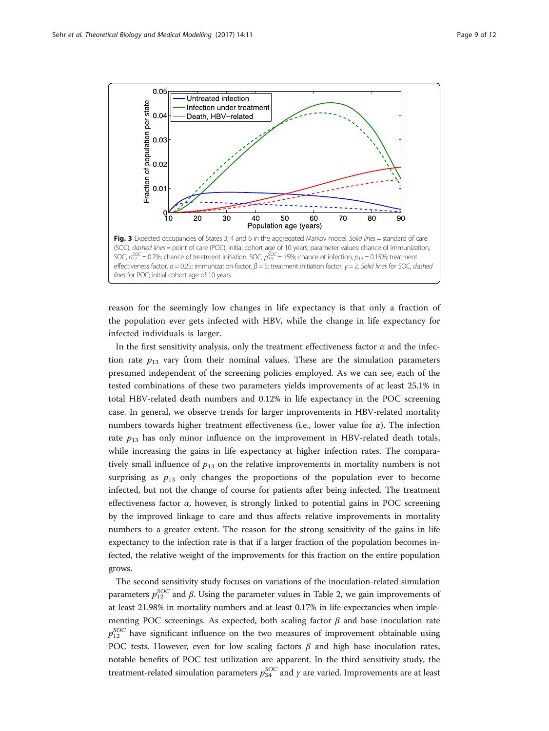<span id="page-8-0"></span>

reason for the seemingly low changes in life expectancy is that only a fraction of the population ever gets infected with HBV, while the change in life expectancy for infected individuals is larger.

In the first sensitivity analysis, only the treatment effectiveness factor  $\alpha$  and the infection rate  $p_{13}$  vary from their nominal values. These are the simulation parameters presumed independent of the screening policies employed. As we can see, each of the tested combinations of these two parameters yields improvements of at least 25.1% in total HBV-related death numbers and 0.12% in life expectancy in the POC screening case. In general, we observe trends for larger improvements in HBV-related mortality numbers towards higher treatment effectiveness (i.e., lower value for α). The infection rate  $p_{13}$  has only minor influence on the improvement in HBV-related death totals, while increasing the gains in life expectancy at higher infection rates. The comparatively small influence of  $p_{13}$  on the relative improvements in mortality numbers is not surprising as  $p_{13}$  only changes the proportions of the population ever to become infected, but not the change of course for patients after being infected. The treatment effectiveness factor  $\alpha$ , however, is strongly linked to potential gains in POC screening by the improved linkage to care and thus affects relative improvements in mortality numbers to a greater extent. The reason for the strong sensitivity of the gains in life expectancy to the infection rate is that if a larger fraction of the population becomes infected, the relative weight of the improvements for this fraction on the entire population grows.

The second sensitivity study focuses on variations of the inoculation-related simulation parameters  $p_{12}^{SOC}$  and  $\beta$ . Using the parameter values in Table [2,](#page-7-0) we gain improvements of at least 21.98% in mortality numbers and at least 0.17% in life expectancies when implementing POC screenings. As expected, both scaling factor  $\beta$  and base inoculation rate  $p_{12}^{SOC}$  have significant influence on the two measures of improvement obtainable using POC tests. However, even for low scaling factors  $\beta$  and high base inoculation rates, notable benefits of POC test utilization are apparent. In the third sensitivity study, the treatment-related simulation parameters  $p_{34}^{SOC}$  and  $\gamma$  are varied. Improvements are at least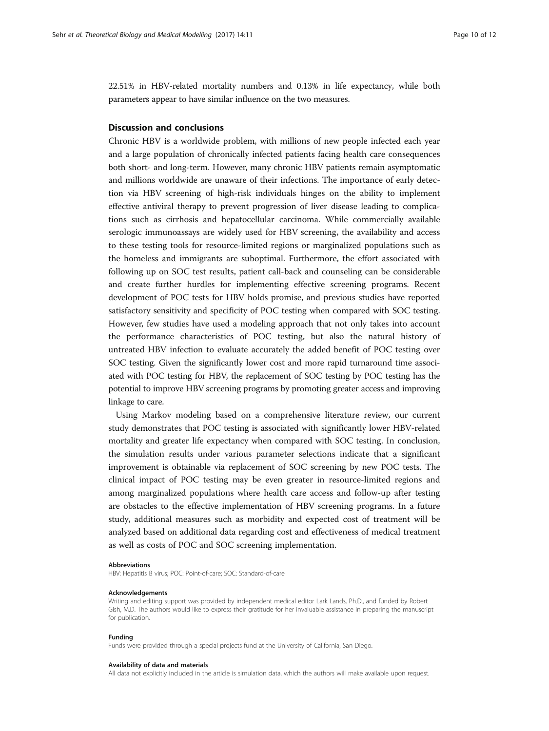22.51% in HBV-related mortality numbers and 0.13% in life expectancy, while both parameters appear to have similar influence on the two measures.

# Discussion and conclusions

Chronic HBV is a worldwide problem, with millions of new people infected each year and a large population of chronically infected patients facing health care consequences both short- and long-term. However, many chronic HBV patients remain asymptomatic and millions worldwide are unaware of their infections. The importance of early detection via HBV screening of high-risk individuals hinges on the ability to implement effective antiviral therapy to prevent progression of liver disease leading to complications such as cirrhosis and hepatocellular carcinoma. While commercially available serologic immunoassays are widely used for HBV screening, the availability and access to these testing tools for resource-limited regions or marginalized populations such as the homeless and immigrants are suboptimal. Furthermore, the effort associated with following up on SOC test results, patient call-back and counseling can be considerable and create further hurdles for implementing effective screening programs. Recent development of POC tests for HBV holds promise, and previous studies have reported satisfactory sensitivity and specificity of POC testing when compared with SOC testing. However, few studies have used a modeling approach that not only takes into account the performance characteristics of POC testing, but also the natural history of untreated HBV infection to evaluate accurately the added benefit of POC testing over SOC testing. Given the significantly lower cost and more rapid turnaround time associated with POC testing for HBV, the replacement of SOC testing by POC testing has the potential to improve HBV screening programs by promoting greater access and improving linkage to care.

Using Markov modeling based on a comprehensive literature review, our current study demonstrates that POC testing is associated with significantly lower HBV-related mortality and greater life expectancy when compared with SOC testing. In conclusion, the simulation results under various parameter selections indicate that a significant improvement is obtainable via replacement of SOC screening by new POC tests. The clinical impact of POC testing may be even greater in resource-limited regions and among marginalized populations where health care access and follow-up after testing are obstacles to the effective implementation of HBV screening programs. In a future study, additional measures such as morbidity and expected cost of treatment will be analyzed based on additional data regarding cost and effectiveness of medical treatment as well as costs of POC and SOC screening implementation.

#### Abbreviations

HBV: Hepatitis B virus; POC: Point-of-care; SOC: Standard-of-care

#### Acknowledgements

Writing and editing support was provided by independent medical editor Lark Lands, Ph.D., and funded by Robert Gish, M.D. The authors would like to express their gratitude for her invaluable assistance in preparing the manuscript for publication.

#### Funding

Funds were provided through a special projects fund at the University of California, San Diego.

#### Availability of data and materials

All data not explicitly included in the article is simulation data, which the authors will make available upon request.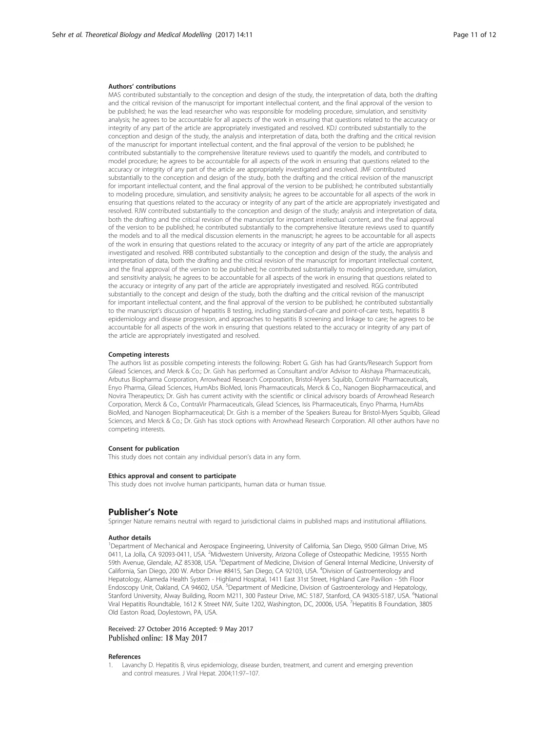### <span id="page-10-0"></span>Authors' contributions

MAS contributed substantially to the conception and design of the study, the interpretation of data, both the drafting and the critical revision of the manuscript for important intellectual content, and the final approval of the version to be published; he was the lead researcher who was responsible for modeling procedure, simulation, and sensitivity analysis; he agrees to be accountable for all aspects of the work in ensuring that questions related to the accuracy or integrity of any part of the article are appropriately investigated and resolved. KDJ contributed substantially to the conception and design of the study, the analysis and interpretation of data, both the drafting and the critical revision of the manuscript for important intellectual content, and the final approval of the version to be published; he contributed substantially to the comprehensive literature reviews used to quantify the models, and contributed to model procedure; he agrees to be accountable for all aspects of the work in ensuring that questions related to the accuracy or integrity of any part of the article are appropriately investigated and resolved. JMF contributed substantially to the conception and design of the study, both the drafting and the critical revision of the manuscript for important intellectual content, and the final approval of the version to be published; he contributed substantially to modeling procedure, simulation, and sensitivity analysis; he agrees to be accountable for all aspects of the work in ensuring that questions related to the accuracy or integrity of any part of the article are appropriately investigated and resolved. RJW contributed substantially to the conception and design of the study; analysis and interpretation of data, both the drafting and the critical revision of the manuscript for important intellectual content, and the final approval of the version to be published; he contributed substantially to the comprehensive literature reviews used to quantify the models and to all the medical discussion elements in the manuscript; he agrees to be accountable for all aspects of the work in ensuring that questions related to the accuracy or integrity of any part of the article are appropriately investigated and resolved. RRB contributed substantially to the conception and design of the study, the analysis and interpretation of data, both the drafting and the critical revision of the manuscript for important intellectual content, and the final approval of the version to be published; he contributed substantially to modeling procedure, simulation, and sensitivity analysis; he agrees to be accountable for all aspects of the work in ensuring that questions related to the accuracy or integrity of any part of the article are appropriately investigated and resolved. RGG contributed substantially to the concept and design of the study, both the drafting and the critical revision of the manuscript for important intellectual content, and the final approval of the version to be published; he contributed substantially to the manuscript's discussion of hepatitis B testing, including standard-of-care and point-of-care tests, hepatitis B epidemiology and disease progression, and approaches to hepatitis B screening and linkage to care; he agrees to be accountable for all aspects of the work in ensuring that questions related to the accuracy or integrity of any part of the article are appropriately investigated and resolved.

#### Competing interests

The authors list as possible competing interests the following: Robert G. Gish has had Grants/Research Support from Gilead Sciences, and Merck & Co.; Dr. Gish has performed as Consultant and/or Advisor to Akshaya Pharmaceuticals, Arbutus Biopharma Corporation, Arrowhead Research Corporation, Bristol-Myers Squibb, ContraVir Pharmaceuticals, Enyo Pharma, Gilead Sciences, HumAbs BioMed, Ionis Pharmaceuticals, Merck & Co., Nanogen Biopharmaceutical, and Novira Therapeutics; Dr. Gish has current activity with the scientific or clinical advisory boards of Arrowhead Research Corporation, Merck & Co., ContraVir Pharmaceuticals, Gilead Sciences, Isis Pharmaceuticals, Enyo Pharma, HumAbs BioMed, and Nanogen Biopharmaceutical; Dr. Gish is a member of the Speakers Bureau for Bristol-Myers Squibb, Gilead Sciences, and Merck & Co.; Dr. Gish has stock options with Arrowhead Research Corporation. All other authors have no competing interests.

#### Consent for publication

This study does not contain any individual person's data in any form.

#### Ethics approval and consent to participate

This study does not involve human participants, human data or human tissue.

# Publisher's Note

Springer Nature remains neutral with regard to jurisdictional claims in published maps and institutional affiliations.

#### Author details

<sup>1</sup>Department of Mechanical and Aerospace Engineering, University of California, San Diego, 9500 Gilman Drive, MS 0411, La Jolla, CA 92093-0411, USA. <sup>2</sup>Midwestern University, Arizona College of Osteopathic Medicine, 19555 North 59th Avenue, Glendale, AZ 85308, USA. <sup>3</sup>Department of Medicine, Division of General Internal Medicine, University of California, San Diego, 200 W. Arbor Drive #8415, San Diego, CA 92103, USA. <sup>4</sup>Division of Gastroenterology and Hepatology, Alameda Health System - Highland Hospital, 1411 East 31st Street, Highland Care Pavilion - 5th Floor Endoscopy Unit, Oakland, CA 94602, USA. <sup>5</sup>Department of Medicine, Division of Gastroenterology and Hepatology, Stanford University, Alway Building, Room M211, 300 Pasteur Drive, MC: 5187, Stanford, CA 94305-5187, USA. <sup>6</sup>National Viral Hepatitis Roundtable, 1612 K Street NW, Suite 1202, Washington, DC, 20006, USA. <sup>7</sup>Hepatitis B Foundation, 3805 Old Easton Road, Doylestown, PA, USA.

#### Received: 27 October 2016 Accepted: 9 May 2017 Published online: 18 May 2017

#### References

1. Lavanchy D. Hepatitis B, virus epidemiology, disease burden, treatment, and current and emerging prevention and control measures. J Viral Hepat. 2004;11:97–107.